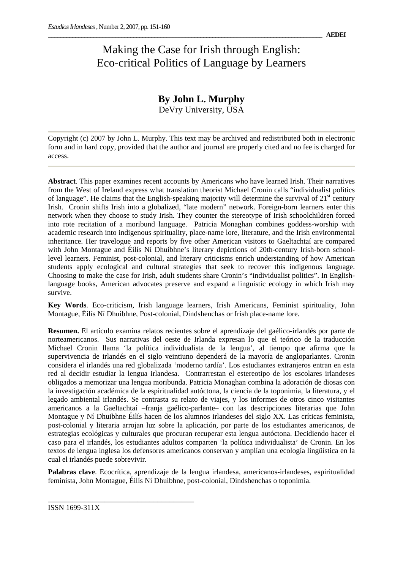## Making the Case for Irish through English: Eco-critical Politics of Language by Learners

## **By John L. Murphy**

DeVry University, USA

Copyright (c) 2007 by John L. Murphy. This text may be archived and redistributed both in electronic form and in hard copy, provided that the author and journal are properly cited and no fee is charged for access.

**Abstract**. This paper examines recent accounts by Americans who have learned Irish. Their narratives from the West of Ireland express what translation theorist Michael Cronin calls "individualist politics of language". He claims that the English-speaking majority will determine the survival of  $21<sup>st</sup>$  century Irish. Cronin shifts Irish into a globalized, "late modern" network. Foreign-born learners enter this network when they choose to study Irish. They counter the stereotype of Irish schoolchildren forced into rote recitation of a moribund language. Patricia Monaghan combines goddess-worship with academic research into indigenous spirituality, place-name lore, literature, and the Irish environmental inheritance. Her travelogue and reports by five other American visitors to Gaeltachtaí are compared with John Montague and Éilís Ní Dhuibhne's literary depictions of 20th-century Irish-born schoollevel learners. Feminist, post-colonial, and literary criticisms enrich understanding of how American students apply ecological and cultural strategies that seek to recover this indigenous language. Choosing to make the case for Irish, adult students share Cronin's "individualist politics". In Englishlanguage books, American advocates preserve and expand a linguistic ecology in which Irish may survive.

**Key Words**. Eco-criticism, Irish language learners, Irish Americans, Feminist spirituality, John Montague, Éilís Ní Dhuibhne, Post-colonial, Dindshenchas or Irish place-name lore.

**Resumen.** El artículo examina relatos recientes sobre el aprendizaje del gaélico-irlandés por parte de norteamericanos. Sus narrativas del oeste de Irlanda expresan lo que el teórico de la traducción Michael Cronin llama 'la política individualista de la lengua', al tiempo que afirma que la supervivencia de irlandés en el siglo veintiuno dependerá de la mayoría de angloparlantes. Cronin considera el irlandés una red globalizada 'moderno tardía'. Los estudiantes extranjeros entran en esta red al decidir estudiar la lengua irlandesa. Contrarrestan el estereotipo de los escolares irlandeses obligados a memorizar una lengua moribunda. Patricia Monaghan combina la adoración de diosas con la investigación académica de la espiritualidad autóctona, la ciencia de la toponimia, la literatura, y el legado ambiental irlandés. Se contrasta su relato de viajes, y los informes de otros cinco visitantes americanos a la Gaeltachtaí –franja gaélico-parlante– con las descripciones literarias que John Montague y Ní Dhuibhne Éilís hacen de los alumnos irlandeses del siglo XX. Las críticas feminista, post-colonial y literaria arrojan luz sobre la aplicación, por parte de los estudiantes americanos, de estrategias ecológicas y culturales que procuran recuperar esta lengua autóctona. Decidiendo hacer el caso para el irlandés, los estudiantes adultos comparten 'la política individualista' de Cronin. En los textos de lengua inglesa los defensores americanos conservan y amplían una ecología lingüística en la cual el irlandés puede sobrevivir.

**Palabras clave**. Ecocrítica, aprendizaje de la lengua irlandesa, americanos-irlandeses, espiritualidad feminista, John Montague, Éilís Ní Dhuibhne, post-colonial, Dindshenchas o toponimia.

\_\_\_\_\_\_\_\_\_\_\_\_\_\_\_\_\_\_\_\_\_\_\_\_\_\_\_\_\_\_\_\_\_\_\_\_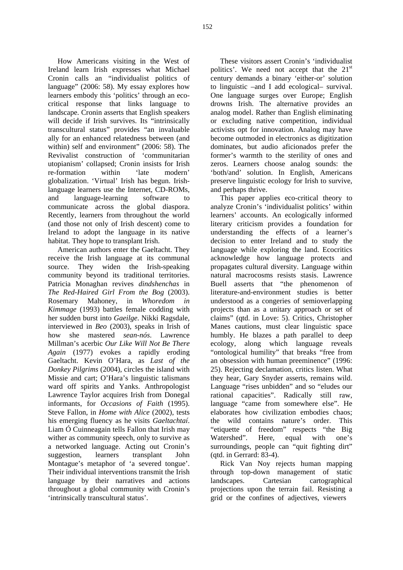How Americans visiting in the West of Ireland learn Irish expresses what Michael Cronin calls an "individualist politics of language" (2006: 58). My essay explores how learners embody this 'politics' through an ecocritical response that links language to landscape. Cronin asserts that English speakers will decide if Irish survives. Its "intrinsically transcultural status" provides "an invaluable ally for an enhanced relatedness between (and within) self and environment" (2006: 58). The Revivalist construction of 'communitarian utopianism' collapsed; Cronin insists for Irish re-formation within 'late modern' globalization. 'Virtual' Irish has begun. Irishlanguage learners use the Internet, CD-ROMs, and language-learning software to communicate across the global diaspora. Recently, learners from throughout the world (and those not only of Irish descent) come to Ireland to adopt the language in its native habitat. They hope to transplant Irish.

American authors enter the Gaeltacht. They receive the Irish language at its communal source. They widen the Irish-speaking community beyond its traditional territories. Patricia Monaghan revives *dindshenchas* in *The Red-Haired Girl From the Bog* (2003). Rosemary Mahoney, in *Whoredom in Kimmage* (1993) battles female codding with her sudden burst into *Gaeilge*. Nikki Ragsdale, interviewed in *Beo* (2003), speaks in Irish of how she mastered *sean-nós*. Lawrence Millman's acerbic *Our Like Will Not Be There Again* (1977) evokes a rapidly eroding Gaeltacht. Kevin O'Hara, as *Last of the Donkey Pilgrims* (2004), circles the island with Missie and cart; O'Hara's linguistic talismans ward off spirits and Yanks. Anthropologist Lawrence Taylor acquires Irish from Donegal informants, for *Occasions of Faith* (1995). Steve Fallon, in *Home with Alice* (2002), tests his emerging fluency as he visits *Gaeltachtaí*. Liam Ó Cuinneagain tells Fallon that Irish may wither as community speech, only to survive as a networked language. Acting out Cronin's suggestion, learners transplant John Montague's metaphor of 'a severed tongue'. Their individual interventions transmit the Irish language by their narratives and actions throughout a global community with Cronin's 'intrinsically transcultural status'.

These visitors assert Cronin's 'individualist politics'. We need not accept that the  $21<sup>st</sup>$ century demands a binary 'either-or' solution to linguistic –and I add ecological– survival. One language surges over Europe; English drowns Irish. The alternative provides an analog model. Rather than English eliminating or excluding native competition, individual activists opt for innovation. Analog may have become outmoded in electronics as digitization dominates, but audio aficionados prefer the former's warmth to the sterility of ones and zeros. Learners choose analog sounds: the 'both/and' solution. In English, Americans preserve linguistic ecology for Irish to survive, and perhaps thrive.

This paper applies eco-critical theory to analyze Cronin's 'individualist politics' within learners' accounts. An ecologically informed literary criticism provides a foundation for understanding the effects of a learner's decision to enter Ireland and to study the language while exploring the land. Ecocritics acknowledge how language protects and propagates cultural diversity. Language within natural macrocosms resists stasis. Lawrence Buell asserts that "the phenomenon of literature-and-environment studies is better understood as a congeries of semioverlapping projects than as a unitary approach or set of claims" (qtd. in Love: 5). Critics, Christopher Manes cautions, must clear linguistic space humbly. He blazes a path parallel to deep ecology, along which language reveals "ontological humility" that breaks "free from an obsession with human preeminence" (1996: 25). Rejecting declamation, critics listen. What they hear, Gary Snyder asserts, remains wild. Language "rises unbidden" and so "eludes our rational capacities". Radically still raw, language "came from somewhere else". He elaborates how civilization embodies chaos; the wild contains nature's order. This "etiquette of freedom" respects "the Big Watershed". Here, equal with one's surroundings, people can "quit fighting dirt" (qtd. in Gerrard: 83-4).

Rick Van Noy rejects human mapping through top-down management of static landscapes. Cartesian cartographical projections upon the terrain fail. Resisting a grid or the confines of adjectives, viewers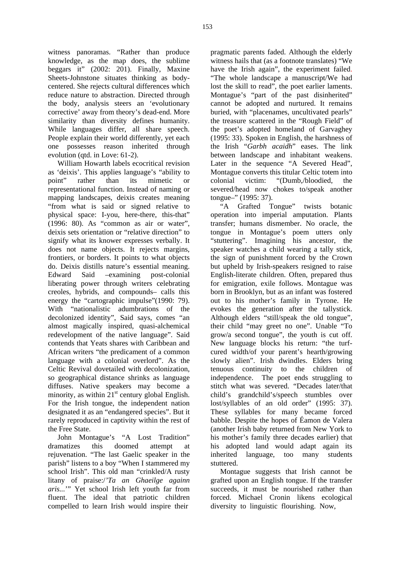witness panoramas. "Rather than produce knowledge, as the map does, the sublime beggars it" (2002: 201). Finally, Maxine Sheets-Johnstone situates thinking as bodycentered. She rejects cultural differences which reduce nature to abstraction. Directed through the body, analysis steers an 'evolutionary corrective' away from theory's dead-end. More similarity than diversity defines humanity. While languages differ, all share speech. People explain their world differently, yet each one possesses reason inherited through evolution (qtd. in Love: 61-2).

William Howarth labels ecocritical revision as 'deixis'. This applies language's "ability to point" rather than its mimetic or representational function. Instead of naming or mapping landscapes, deixis creates meaning "from what is said or signed relative to physical space: I-you, here-there, this-that" (1996: 80). As "common as air or water", deixis sets orientation or "relative direction" to signify what its knower expresses verbally. It does not name objects. It rejects margins, frontiers, or borders. It points to what objects do. Deixis distills nature's essential meaning. Edward Said –examining post-colonial liberating power through writers celebrating creoles, hybrids, and compounds– calls this energy the "cartographic impulse"(1990: 79). With "nationalistic adumbrations of the decolonized identity", Said says, comes "an almost magically inspired, quasi-alchemical redevelopment of the native language". Said contends that Yeats shares with Caribbean and African writers "the predicament of a common language with a colonial overlord". As the Celtic Revival dovetailed with decolonization, so geographical distance shrinks as language diffuses. Native speakers may become a minority, as within  $21<sup>st</sup>$  century global English. For the Irish tongue, the independent nation designated it as an "endangered species". But it rarely reproduced in captivity within the rest of the Free State.

John Montague's "A Lost Tradition" dramatizes this doomed attempt at rejuvenation. "The last Gaelic speaker in the parish" listens to a boy "When I stammered my school Irish". This old man "crinkled/A rusty litany of praise:/*'Ta an Ghaeilge againn aris...*'" Yet school Irish left youth far from fluent. The ideal that patriotic children compelled to learn Irish would inspire their

pragmatic parents faded. Although the elderly witness hails that (as a footnote translates) "We have the Irish again", the experiment failed. "The whole landscape a manuscript/We had lost the skill to read", the poet earlier laments. Montague's "part of the past disinherited" cannot be adopted and nurtured. It remains buried, with "placenames, uncultivated pearls" the treasure scattered in the "Rough Field" of the poet's adopted homeland of Garvaghey (1995: 33). Spoken in English, the harshness of the Irish "*Garbh acaidh*" eases. The link between landscape and inhabitant weakens. Later in the sequence "A Severed Head", Montague converts this titular Celtic totem into colonial victim: "(Dumb,/bloodied, the severed/head now chokes to/speak another tongue–" (1995: 37).

"A Grafted Tongue" twists botanic operation into imperial amputation. Plants transfer; humans dismember. No oracle, the tongue in Montague's poem utters only "stuttering". Imagining his ancestor, the speaker watches a child wearing a tally stick, the sign of punishment forced by the Crown but upheld by Irish-speakers resigned to raise English-literate children. Often, prepared thus for emigration, exile follows. Montague was born in Brooklyn, but as an infant was fostered out to his mother's family in Tyrone. He evokes the generation after the tallystick. Although elders "still/speak the old tongue", their child "may greet no one". Unable "To grow/a second tongue", the youth is cut off. New language blocks his return: "the turfcured width/of your parent's hearth/growing slowly alien". Irish dwindles. Elders bring tenuous continuity to the children of independence. The poet ends struggling to stitch what was severed. "Decades later/that child's grandchild's/speech stumbles over lost/syllables of an old order" (1995: 37). These syllables for many became forced babble. Despite the hopes of Éamon de Valera (another Irish baby returned from New York to his mother's family three decades earlier) that his adopted land would adapt again its inherited language, too many students stuttered.

Montague suggests that Irish cannot be grafted upon an English tongue. If the transfer succeeds, it must be nourished rather than forced. Michael Cronin likens ecological diversity to linguistic flourishing. Now,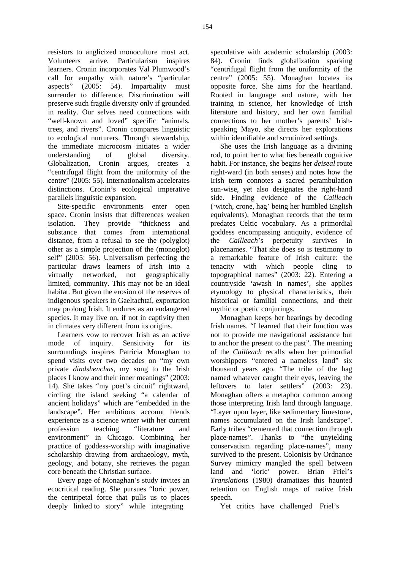resistors to anglicized monoculture must act. Volunteers arrive. Particularism inspires learners. Cronin incorporates Val Plumwood's call for empathy with nature's "particular aspects" (2005: 54). Impartiality must surrender to difference. Discrimination will preserve such fragile diversity only if grounded in reality. Our selves need connections with "well-known and loved" specific "animals, trees, and rivers". Cronin compares linguistic to ecological nurturers. Through stewardship, the immediate microcosm initiates a wider understanding of global diversity. Globalization, Cronin argues, creates a "centrifugal flight from the uniformity of the centre" (2005: 55). Internationalism accelerates distinctions. Cronin's ecological imperative parallels linguistic expansion.

Site-specific environments enter open space. Cronin insists that differences weaken isolation. They provide "thickness and substance that comes from international distance, from a refusal to see the (polyglot) other as a simple projection of the (monoglot) self" (2005: 56). Universalism perfecting the particular draws learners of Irish into a virtually networked, not geographically limited, community. This may not be an ideal habitat. But given the erosion of the reserves of indigenous speakers in Gaeltachtaí, exportation may prolong Irish. It endures as an endangered species. It may live on, if not in captivity then in climates very different from its origins.

Learners vow to recover Irish as an active mode of inquiry. Sensitivity for its surroundings inspires Patricia Monaghan to spend visits over two decades on "my own private *dindshenchas,* my song to the Irish places I know and their inner meanings" (2003: 14). She takes "my poet's circuit" rightward, circling the island seeking "a calendar of ancient holidays" which are "embedded in the landscape". Her ambitious account blends experience as a science writer with her current profession teaching "literature and environment" in Chicago. Combining her practice of goddess-worship with imaginative scholarship drawing from archaeology, myth, geology, and botany, she retrieves the pagan core beneath the Christian surface.

Every page of Monaghan's study invites an ecocritical reading. She pursues "loric power, the centripetal force that pulls us to places deeply linked to story" while integrating

speculative with academic scholarship (2003: 84). Cronin finds globalization sparking "centrifugal flight from the uniformity of the centre" (2005: 55). Monaghan locates its opposite force. She aims for the heartland. Rooted in language and nature, with her training in science, her knowledge of Irish literature and history, and her own familial connections to her mother's parents' Irishspeaking Mayo, she directs her explorations within identifiable and scrutinized settings.

She uses the Irish language as a divining rod, to point her to what lies beneath cognitive habit. For instance, she begins her *deiseal* route right-ward (in both senses) and notes how the Irish term connotes a sacred perambulation sun-wise, yet also designates the right-hand side. Finding evidence of the *Cailleach* ('witch, crone, hag' being her humbled English equivalents), Monaghan records that the term predates Celtic vocabulary. As a primordial goddess encompassing antiquity, evidence of the *Cailleach*'s perpetuity survives in placenames. "That she does so is testimony to a remarkable feature of Irish culture: the tenacity with which people cling to topographical names" (2003: 22). Entering a countryside 'awash in names', she applies etymology to physical characteristics, their historical or familial connections, and their mythic or poetic conjurings.

Monaghan keeps her bearings by decoding Irish names. "I learned that their function was not to provide me navigational assistance but to anchor the present to the past". The meaning of the *Cailleach* recalls when her primordial worshippers "entered a nameless land" six thousand years ago. "The tribe of the hag named whatever caught their eyes, leaving the leftovers to later settlers" (2003: 23). Monaghan offers a metaphor common among those interpreting Irish land through language. "Layer upon layer, like sedimentary limestone, names accumulated on the Irish landscape". Early tribes "cemented that connection through place-names". Thanks to "the unyielding conservatism regarding place-names", many survived to the present. Colonists by Ordnance Survey mimicry mangled the spell between land and 'loric' power. Brian Friel's *Translations* (1980) dramatizes this haunted retention on English maps of native Irish speech.

Yet critics have challenged Friel's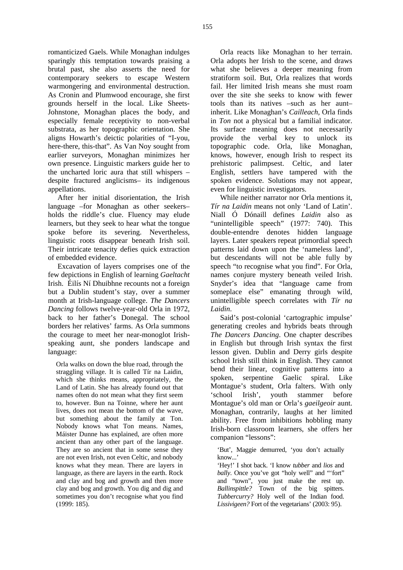romanticized Gaels. While Monaghan indulges sparingly this temptation towards praising a brutal past, she also asserts the need for contemporary seekers to escape Western warmongering and environmental destruction. As Cronin and Plumwood encourage, she first grounds herself in the local. Like Sheets-Johnstone, Monaghan places the body, and especially female receptivity to non-verbal substrata, as her topographic orientation. She aligns Howarth's deictic polarities of "I-you, here-there, this-that". As Van Noy sought from earlier surveyors, Monaghan minimizes her own presence. Linguistic markers guide her to the uncharted loric aura that still whispers – despite fractured anglicisms– its indigenous appellations.

After her initial disorientation, the Irish language –for Monaghan as other seekers– holds the riddle's clue. Fluency may elude learners, but they seek to hear what the tongue spoke before its severing. Nevertheless, linguistic roots disappear beneath Irish soil. Their intricate tenacity defies quick extraction of embedded evidence.

Excavation of layers comprises one of the few depictions in English of learning *Gaeltacht* Irish. Éilís Ní Dhuibhne recounts not a foreign but a Dublin student's stay, over a summer month at Irish-language college. *The Dancers Dancing* follows twelve-year-old Orla in 1972, back to her father's Donegal. The school borders her relatives' farms. As Orla summons the courage to meet her near-monoglot Irishspeaking aunt, she ponders landscape and language:

Orla walks on down the blue road, through the straggling village. It is called Tír na Laidin, which she thinks means, appropriately, the Land of Latin. She has already found out that names often do not mean what they first seem to, however. Bun na Toinne, where her aunt lives, does not mean the bottom of the wave, but something about the family at Ton. Nobody knows what Ton means. Names, Máister Dunne has explained, are often more ancient than any other part of the language. They are so ancient that in some sense they are not even Irish, not even Celtic, and nobody knows what they mean. There are layers in language, as there are layers in the earth. Rock and clay and bog and growth and then more clay and bog and growth. You dig and dig and sometimes you don't recognise what you find (1999: 185).

Orla reacts like Monaghan to her terrain. Orla adopts her Irish to the scene, and draws what she believes a deeper meaning from stratiform soil. But, Orla realizes that words fail. Her limited Irish means she must roam over the site she seeks to know with fewer tools than its natives –such as her aunt– inherit. Like Monaghan's *Cailleach*, Orla finds in *Ton* not a physical but a familial indicator. Its surface meaning does not necessarily provide the verbal key to unlock its topographic code. Orla, like Monaghan, knows, however, enough Irish to respect its prehistoric palimpsest. Celtic, and later English, settlers have tampered with the spoken evidence. Solutions may not appear, even for linguistic investigators.

While neither narrator nor Orla mentions it, *Tír na Laidin* means not only 'Land of Latin'. Niall Ó Dónaill defines *Laidin* also as "unintelligible speech" (1977: 740). This double-entendre denotes hidden language layers. Later speakers repeat primordial speech patterns laid down upon the 'nameless land', but descendants will not be able fully by speech "to recognise what you find". For Orla, names conjure mystery beneath veiled Irish. Snyder's idea that "language came from someplace else" emanating through wild, unintelligible speech correlates with *Tír na Laidin*.

Said's post-colonial 'cartographic impulse' generating creoles and hybrids beats through *The Dancers Dancing*. One chapter describes in English but through Irish syntax the first lesson given. Dublin and Derry girls despite school Irish still think in English. They cannot bend their linear, cognitive patterns into a spoken, serpentine Gaelic spiral. Like Montague's student, Orla falters. With only 'school Irish', youth stammer before Montague's old man or Orla's *gaeilgeoir* aunt. Monaghan, contrarily, laughs at her limited ability. Free from inhibitions hobbling many Irish-born classroom learners, she offers her companion "lessons":

'But', Maggie demurred, 'you don't actually know...'

'Hey!' I shot back. 'I know *tubber* and *lios* and *bally*. Once you've got "holy well" and "fort" and "town", you just make the rest up. *Ballinspittle?* Town of the big spitters. *Tubbercurry?* Holy well of the Indian food. *Lissivigeen?* Fort of the vegetarians' (2003: 95).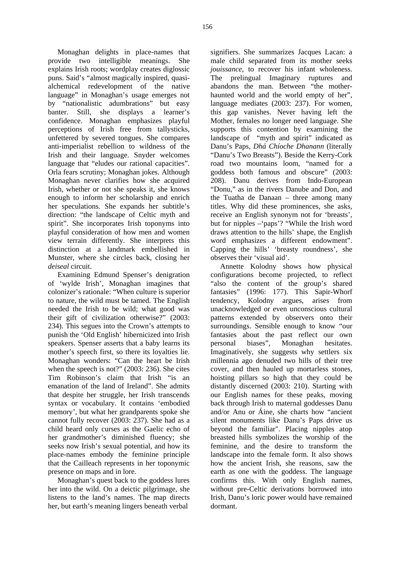Monaghan delights in place-names that provide two intelligible meanings. She explains Irish roots; wordplay creates diglossic puns. Said's "almost magically inspired, quasialchemical redevelopment of the native language" in Monaghan's usage emerges not by "nationalistic adumbrations" but easy banter. Still, she displays a learner's confidence. Monaghan emphasizes playful perceptions of Irish free from tallysticks, unfettered by severed tongues. She compares anti-imperialist rebellion to wildness of the Irish and their language. Snyder welcomes language that "eludes our rational capacities". Orla fears scrutiny; Monaghan jokes. Although Monaghan never clarifies how she acquired Irish, whether or not she speaks it, she knows enough to inform her scholarship and enrich her speculations. She expands her subtitle's direction: "the landscape of Celtic myth and spirit". She incorporates Irish toponyms into playful consideration of how men and women view terrain differently. She interprets this distinction at a landmark embellished in Munster, where she circles back, closing her *deiseal* circuit.

Examining Edmund Spenser's denigration of 'wylde Irish', Monaghan imagines that colonizer's rationale: "When culture is superior to nature, the wild must be tamed. The English needed the Irish to be wild; what good was their gift of civilization otherwise?" (2003: 234). This segues into the Crown's attempts to punish the 'Old English' hibernicized into Irish speakers. Spenser asserts that a baby learns its mother's speech first, so there its loyalties lie. Monaghan wonders: "Can the heart be Irish when the speech is not?" (2003: 236). She cites Tim Robinson's claim that Irish "is an emanation of the land of Ireland". She admits that despite her struggle, her Irish transcends syntax or vocabulary. It contains 'embodied memory', but what her grandparents spoke she cannot fully recover (2003: 237). She had as a child heard only curses as the Gaelic echo of her grandmother's diminished fluency; she seeks now Irish's sexual potential, and how its place-names embody the feminine principle that the Cailleach represents in her toponymic presence on maps and in lore.

Monaghan's quest back to the goddess lures her into the wild. On a deictic pilgrimage, she listens to the land's names. The map directs her, but earth's meaning lingers beneath verbal

signifiers. She summarizes Jacques Lacan: a male child separated from its mother seeks *jouissance*, to recover his infant wholeness. The prelingual Imaginary ruptures and abandons the man. Between "the motherhaunted world and the world empty of her", language mediates (2003: 237). For women, this gap vanishes. Never having left the Mother, females no longer need language. She supports this contention by examining the landscape of "myth and spirit" indicated as Danu's Paps, *Dhá Chíoche Dhanann* (literally "Danu's Two Breasts"). Beside the Kerry-Cork road two mountains loom, "named for a goddess both famous and obscure" (2003: 208). Danu derives from Indo-European "Donu," as in the rivers Danube and Don, and the Tuatha de Danaan – three among many titles. Why did these prominences, she asks, receive an English synonym not for 'breasts', but for nipples –'paps'? "While the Irish word draws attention to the hills' shape, the English word emphasizes a different endowment". Capping the hills' 'breasty roundness', she observes their 'visual aid'.

Annette Kolodny shows how physical configurations become projected, to reflect "also the content of the group's shared fantasies" (1996: 177). This Sapir-Whorf tendency, Kolodny argues, arises from unacknowledged or even unconscious cultural patterns extended by observers onto their surroundings. Sensible enough to know "our fantasies about the past reflect our own personal biases", Monaghan hesitates. Imaginatively, she suggests why settlers six millennia ago denuded two hills of their tree cover, and then hauled up mortarless stones, hoisting pillars so high that they could be distantly discerned (2003: 210). Starting with our English names for these peaks, moving back through Irish to maternal goddesses Danu and/or Anu or Áine, she charts how "ancient silent monuments like Danu's Paps drive us beyond the familiar". Placing nipples atop breasted hills symbolizes the worship of the feminine, and the desire to transform the landscape into the female form. It also shows how the ancient Irish, she reasons, saw the earth as one with the goddess. The language confirms this. With only English names, without pre-Celtic derivations borrowed into Irish, Danu's loric power would have remained dormant.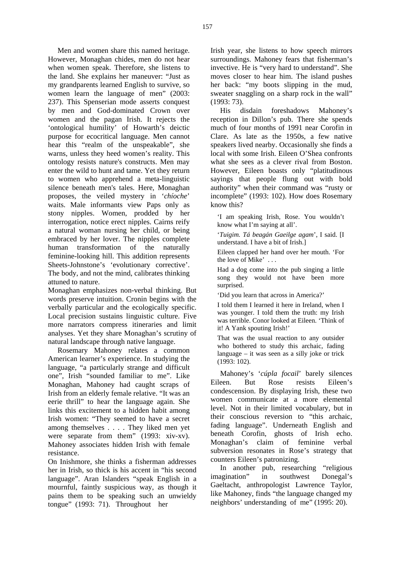Men and women share this named heritage. However, Monaghan chides, men do not hear when women speak. Therefore, she listens to the land. She explains her maneuver: "Just as my grandparents learned English to survive, so women learn the language of men" (2003: 237). This Spenserian mode asserts conquest by men and God-dominated Crown over women and the pagan Irish. It rejects the 'ontological humility' of Howarth's deictic purpose for ecocritical language. Men cannot hear this "realm of the unspeakable", she warns, unless they heed women's reality. This ontology resists nature's constructs. Men may enter the wild to hunt and tame. Yet they return to women who apprehend a meta-linguistic silence beneath men's tales. Here, Monaghan proposes, the veiled mystery in '*chíoche*' waits. Male informants view Paps only as stony nipples. Women, prodded by her interrogation, notice erect nipples. Cairns reify a natural woman nursing her child, or being embraced by her lover. The nipples complete human transformation of the naturally feminine-looking hill. This addition represents Sheets-Johnstone's 'evolutionary corrective'. The body, and not the mind, calibrates thinking attuned to nature.

Monaghan emphasizes non-verbal thinking. But words preserve intuition. Cronin begins with the verbally particular and the ecologically specific. Local precision sustains linguistic culture. Five more narrators compress itineraries and limit analyses. Yet they share Monaghan's scrutiny of natural landscape through native language.

Rosemary Mahoney relates a common American learner's experience. In studying the language, "a particularly strange and difficult one", Irish "sounded familiar to me". Like Monaghan, Mahoney had caught scraps of Irish from an elderly female relative. "It was an eerie thrill" to hear the language again. She links this excitement to a hidden habit among Irish women: "They seemed to have a secret among themselves . . . . They liked men yet were separate from them" (1993: xiv-xv). Mahoney associates hidden Irish with female resistance.

On Inishmore, she thinks a fisherman addresses her in Irish, so thick is his accent in "his second language". Aran Islanders "speak English in a mournful, faintly suspicious way, as though it pains them to be speaking such an unwieldy tongue" (1993: 71). Throughout her

Irish year, she listens to how speech mirrors surroundings. Mahoney fears that fisherman's invective. He is "very hard to understand". She moves closer to hear him. The island pushes her back: "my boots slipping in the mud, sweater snaggling on a sharp rock in the wall" (1993: 73).

His disdain foreshadows Mahoney's reception in Dillon's pub. There she spends much of four months of 1991 near Corofin in Clare. As late as the 1950s, a few native speakers lived nearby. Occasionally she finds a local with some Irish. Eileen O'Shea confronts what she sees as a clever rival from Boston. However, Eileen boasts only "platitudinous sayings that people flung out with bold authority" when their command was "rusty or incomplete" (1993: 102). How does Rosemary know this?

'I am speaking Irish, Rose. You wouldn't know what I'm saying at all'.

'*Tuigim. Tá beagán Gaeilge agam*', I said. [I understand. I have a bit of Irish.]

Eileen clapped her hand over her mouth. 'For the love of Mike' . . .

Had a dog come into the pub singing a little song they would not have been more surprised.

'Did you learn that across in America?'

I told them I learned it here in Ireland, when I was younger. I told them the truth: my Irish was terrible. Conor looked at Eileen. 'Think of it! A Yank spouting Irish!'

That was the usual reaction to any outsider who bothered to study this archaic, fading language – it was seen as a silly joke or trick (1993: 102).

Mahoney's '*cúpla focail*' barely silences Eileen. But Rose resists Eileen's condescension. By displaying Irish, these two women communicate at a more elemental level. Not in their limited vocabulary, but in their conscious reversion to "this archaic, fading language". Underneath English and beneath Corofin, ghosts of Irish echo. Monaghan's claim of feminine verbal subversion resonates in Rose's strategy that counters Eileen's patronizing.

In another pub, researching "religious imagination" in southwest Donegal's Gaeltacht, anthropologist Lawrence Taylor, like Mahoney, finds "the language changed my neighbors' understanding of me" (1995: 20).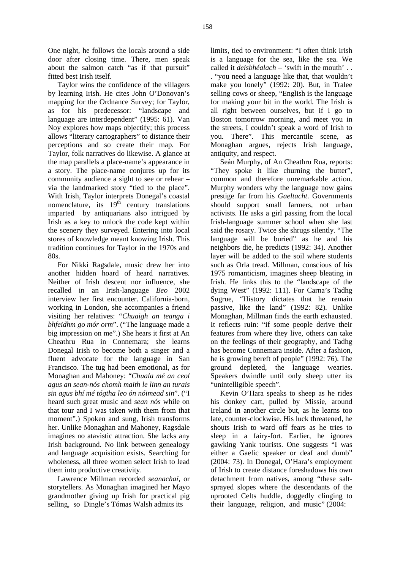One night, he follows the locals around a side door after closing time. There, men speak about the salmon catch "as if that pursuit" fitted best Irish itself.

Taylor wins the confidence of the villagers by learning Irish. He cites John O'Donovan's mapping for the Ordnance Survey; for Taylor, as for his predecessor: "landscape and language are interdependent" (1995: 61). Van Noy explores how maps objectify; this process allows "literary cartographers" to distance their perceptions and so create their map. For Taylor, folk narratives do likewise. A glance at the map parallels a place-name's appearance in a story. The place-name conjures up for its community audience a sight to see or rehear – via the landmarked story "tied to the place". With Irish, Taylor interprets Donegal's coastal nomenclature, its  $19<sup>th</sup>$  century translations imparted by antiquarians also intrigued by Irish as a key to unlock the code kept within the scenery they surveyed. Entering into local stores of knowledge meant knowing Irish. This tradition continues for Taylor in the 1970s and 80s.

For Nikki Ragsdale, music drew her into another hidden hoard of heard narratives. Neither of Irish descent nor influence, she recalled in an Irish-language *Beo* 2002 interview her first encounter. California-born, working in London, she accompanies a friend visiting her relatives: "*Chuaigh an teanga i bhfeidhm go mór orm*". ("The language made a big impression on me".) She hears it first at An Cheathru Rua in Connemara; she learns Donegal Irish to become both a singer and a fluent advocate for the language in San Francisco. The tug had been emotional, as for Monaghan and Mahoney: "*Chuala mé an ceol agus an sean-nós chomh maith le linn an turais sin agus bhí mé tógtha leo ón nóimead sin*". ("I heard such great music and *sean nós* while on that tour and I was taken with them from that moment".) Spoken and sung, Irish transforms her. Unlike Monaghan and Mahoney, Ragsdale imagines no atavistic attraction. She lacks any Irish background. No link between genealogy and language acquisition exists. Searching for wholeness, all three women select Irish to lead them into productive creativity.

Lawrence Millman recorded *seanachaí,* or storytellers. As Monaghan imagined her Mayo grandmother giving up Irish for practical pig selling, so Dingle's Tómas Walsh admits its

limits, tied to environment: "I often think Irish is a language for the sea, like the sea. We called it *deisbhéalach* – 'swift in the mouth' . . . "you need a language like that, that wouldn't make you lonely" (1992: 20). But, in Tralee selling cows or sheep, "English is the language for making your bit in the world. The Irish is all right between ourselves, but if I go to Boston tomorrow morning, and meet you in the streets, I couldn't speak a word of Irish to you. There". This mercantile scene, as Monaghan argues, rejects Irish language, antiquity, and respect.

Seán Murphy, of An Cheathru Rua, reports: "They spoke it like churning the butter", common and therefore unremarkable action. Murphy wonders why the language now gains prestige far from his *Gaeltacht*. Governments should support small farmers, not urban activists. He asks a girl passing from the local Irish-language summer school when she last said the rosary. Twice she shrugs silently. "The language will be buried" as he and his neighbors die, he predicts (1992: 34). Another layer will be added to the soil where students such as Orla tread. Millman, conscious of his 1975 romanticism, imagines sheep bleating in Irish. He links this to the "landscape of the dying West" (1992: 111). For Carna's Tadhg Sugrue, "History dictates that he remain passive, like the land" (1992: 82). Unlike Monaghan, Millman finds the earth exhausted. It reflects ruin: "if some people derive their features from where they live, others can take on the feelings of their geography, and Tadhg has become Connemara inside. After a fashion, he is growing bereft of people" (1992: 76). The ground depleted, the language wearies. Speakers dwindle until only sheep utter its "unintelligible speech".

Kevin O'Hara speaks to sheep as he rides his donkey cart, pulled by Missie, around Ireland in another circle but, as he learns too late, counter-clockwise. His luck threatened, he shouts Irish to ward off fears as he tries to sleep in a fairy-fort. Earlier, he ignores gawking Yank tourists. One suggests "I was either a Gaelic speaker or deaf and dumb" (2004: 73). In Donegal, O'Hara's employment of Irish to create distance foreshadows his own detachment from natives, among "these saltsprayed slopes where the descendants of the uprooted Celts huddle, doggedly clinging to their language, religion, and music" (2004: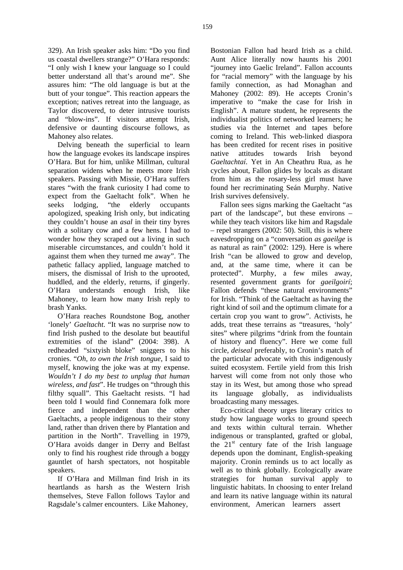329). An Irish speaker asks him: "Do you find us coastal dwellers strange?" O'Hara responds: "I only wish I knew your language so I could better understand all that's around me". She assures him: "The old language is but at the butt of your tongue". This reaction appears the exception; natives retreat into the language, as Taylor discovered, to deter intrusive tourists and "blow-ins". If visitors attempt Irish, defensive or daunting discourse follows, as Mahoney also relates.

Delving beneath the superficial to learn how the language evokes its landscape inspires O'Hara. But for him, unlike Millman, cultural separation widens when he meets more Irish speakers. Passing with Missie, O'Hara suffers stares "with the frank curiosity I had come to expect from the Gaeltacht folk". When he seeks lodging, "the elderly occupants apologized, speaking Irish only, but indicating they couldn't house an *asal* in their tiny byres with a solitary cow and a few hens. I had to wonder how they scraped out a living in such miserable circumstances, and couldn't hold it against them when they turned me away". The pathetic fallacy applied, language matched to misers, the dismissal of Irish to the uprooted, huddled, and the elderly, returns, if gingerly. O'Hara understands enough Irish, like Mahoney, to learn how many Irish reply to brash Yanks.

O'Hara reaches Roundstone Bog, another 'lonely' *Gaeltacht*. "It was no surprise now to find Irish pushed to the desolate but beautiful extremities of the island" (2004: 398). A redheaded "sixtyish bloke" sniggers to his cronies. "*Oh, to own the Irish tongue*, I said to myself, knowing the joke was at my expense. *Wouldn't I do my best to unplug that human wireless, and fast*". He trudges on "through this filthy squall". This Gaeltacht resists. "I had been told I would find Connemara folk more fierce and independent than the other Gaeltachts, a people indigenous to their stony land, rather than driven there by Plantation and partition in the North". Travelling in 1979, O'Hara avoids danger in Derry and Belfast only to find his roughest ride through a boggy gauntlet of harsh spectators, not hospitable speakers.

If O'Hara and Millman find Irish in its heartlands as harsh as the Western Irish themselves, Steve Fallon follows Taylor and Ragsdale's calmer encounters. Like Mahoney,

Bostonian Fallon had heard Irish as a child. Aunt Alice literally now haunts his 2001 "journey into Gaelic Ireland". Fallon accounts for "racial memory" with the language by his family connection, as had Monaghan and Mahoney (2002: 89). He accepts Cronin's imperative to "make the case for Irish in English". A mature student, he represents the individualist politics of networked learners; he studies via the Internet and tapes before coming to Ireland. This web-linked diaspora has been credited for recent rises in positive native attitudes towards Irish beyond *Gaeltachtaí*. Yet in An Cheathru Rua, as he cycles about, Fallon glides by locals as distant from him as the rosary-less girl must have found her recriminating Seán Murphy. Native Irish survives defensively.

Fallon sees signs marking the Gaeltacht "as part of the landscape", but these environs – while they teach visitors like him and Ragsdale – repel strangers (2002: 50). Still, this is where eavesdropping on a "conversation *as gaeilge* is as natural as rain" (2002: 129). Here is where Irish "can be allowed to grow and develop, and, at the same time, where it can be protected". Murphy, a few miles away, resented government grants for *gaeilgoirí*; Fallon defends "these natural environments" for Irish. "Think of the Gaeltacht as having the right kind of soil and the optimum climate for a certain crop you want to grow". Activists, he adds, treat these terrains as "treasures, 'holy' sites" where pilgrims "drink from the fountain of history and fluency". Here we come full circle, *deiseal* preferably, to Cronin's match of the particular advocate with this indigenously suited ecosystem. Fertile yield from this Irish harvest will come from not only those who stay in its West, but among those who spread its language globally, as individualists broadcasting many messages.

Eco-critical theory urges literary critics to study how language works to ground speech and texts within cultural terrain. Whether indigenous or transplanted, grafted or global, the 21<sup>st</sup> century fate of the Irish language depends upon the dominant, English-speaking majority. Cronin reminds us to act locally as well as to think globally. Ecologically aware strategies for human survival apply to linguistic habitats. In choosing to enter Ireland and learn its native language within its natural environment, American learners assert